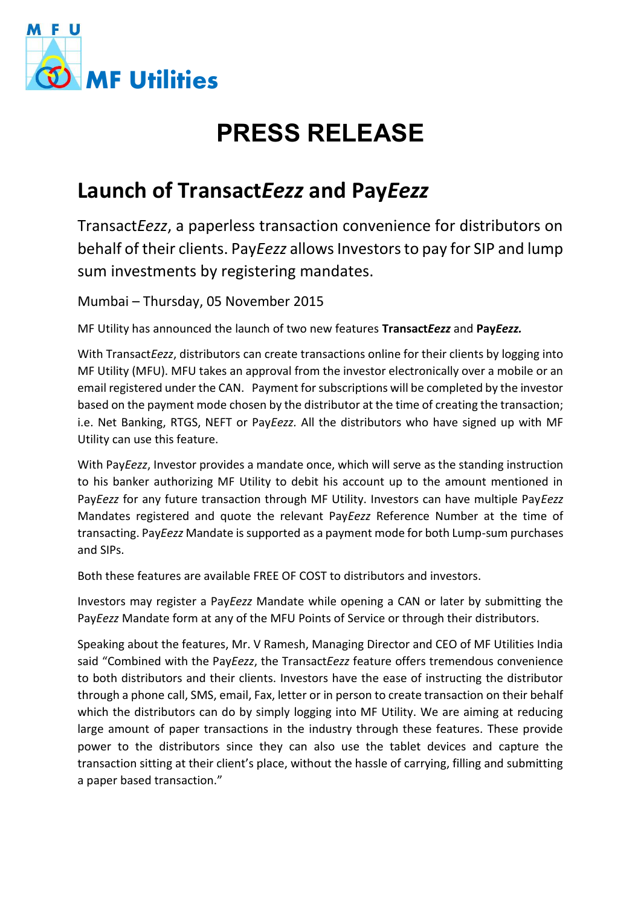

## **PRESS RELEASE**

## **Launch of Transact***Eezz* **and Pay***Eezz*

Transact*Eezz*, a paperless transaction convenience for distributors on behalf of their clients. Pay*Eezz* allows Investors to pay for SIP and lump sum investments by registering mandates.

Mumbai – Thursday, 05 November 2015

MF Utility has announced the launch of two new features **Transact***Eezz* and **Pay***Eezz.* 

With Transact*Eezz*, distributors can create transactions online for their clients by logging into MF Utility (MFU). MFU takes an approval from the investor electronically over a mobile or an email registered under the CAN. Payment for subscriptions will be completed by the investor based on the payment mode chosen by the distributor at the time of creating the transaction; i.e. Net Banking, RTGS, NEFT or Pay*Eezz.* All the distributors who have signed up with MF Utility can use this feature.

With Pay*Eezz*, Investor provides a mandate once, which will serve as the standing instruction to his banker authorizing MF Utility to debit his account up to the amount mentioned in Pay*Eezz* for any future transaction through MF Utility. Investors can have multiple Pay*Eezz* Mandates registered and quote the relevant Pay*Eezz* Reference Number at the time of transacting. Pay*Eezz* Mandate is supported as a payment mode for both Lump-sum purchases and SIPs.

Both these features are available FREE OF COST to distributors and investors.

Investors may register a Pay*Eezz* Mandate while opening a CAN or later by submitting the Pay*Eezz* Mandate form at any of the MFU Points of Service or through their distributors.

Speaking about the features, Mr. V Ramesh, Managing Director and CEO of MF Utilities India said "Combined with the Pay*Eezz*, the Transact*Eezz* feature offers tremendous convenience to both distributors and their clients. Investors have the ease of instructing the distributor through a phone call, SMS, email, Fax, letter or in person to create transaction on their behalf which the distributors can do by simply logging into MF Utility. We are aiming at reducing large amount of paper transactions in the industry through these features. These provide power to the distributors since they can also use the tablet devices and capture the transaction sitting at their client's place, without the hassle of carrying, filling and submitting a paper based transaction."